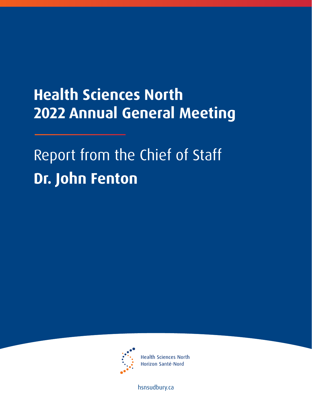## **Health Sciences North 2022 Annual General Meeting**

## Report from the Chief of Staff **Dr. John Fenton**



**Health Sciences North** Horizon Santé-Nord

[hsnsudbury.ca](www.hsnsudbury.ca)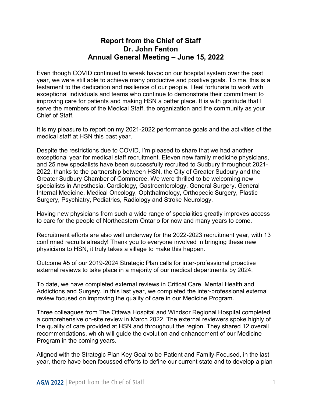## **Annual General Meeting – June 15, 2022 Report from the Chief of Staff Dr. John Fenton**

 testament to the dedication and resilience of our people. I feel fortunate to work with Even though COVID continued to wreak havoc on our hospital system over the past year, we were still able to achieve many productive and positive goals. To me, this is a exceptional individuals and teams who continue to demonstrate their commitment to improving care for patients and making HSN a better place. It is with gratitude that I serve the members of the Medical Staff, the organization and the community as your Chief of Staff.

It is my pleasure to report on my 2021-2022 performance goals and the activities of the medical staff at HSN this past year.

Despite the restrictions due to COVID, I'm pleased to share that we had another exceptional year for medical staff recruitment. Eleven new family medicine physicians, and 25 new specialists have been successfully recruited to Sudbury throughout 2021- 2022, thanks to the partnership between HSN, the City of Greater Sudbury and the Greater Sudbury Chamber of Commerce. We were thrilled to be welcoming new specialists in Anesthesia, Cardiology, Gastroenterology, General Surgery, General Internal Medicine, Medical Oncology, Ophthalmology, Orthopedic Surgery, Plastic Surgery, Psychiatry, Pediatrics, Radiology and Stroke Neurology.

Having new physicians from such a wide range of specialities greatly improves access to care for the people of Northeastern Ontario for now and many years to come.

Recruitment efforts are also well underway for the 2022-2023 recruitment year, with 13 confirmed recruits already! Thank you to everyone involved in bringing these new physicians to HSN, it truly takes a village to make this happen.

Outcome #5 of our 2019-2024 Strategic Plan calls for inter-professional proactive external reviews to take place in a majority of our medical departments by 2024.

To date, we have completed external reviews in Critical Care, Mental Health and Addictions and Surgery. In this last year, we completed the inter-professional external review focused on improving the quality of care in our Medicine Program.

Three colleagues from The Ottawa Hospital and Windsor Regional Hospital completed a comprehensive on-site review in March 2022. The external reviewers spoke highly of the quality of care provided at HSN and throughout the region. They shared 12 overall recommendations, which will guide the evolution and enhancement of our Medicine Program in the coming years.

 Aligned with the Strategic Plan Key Goal to be Patient and Family-Focused, in the last year, there have been focussed efforts to define our current state and to develop a plan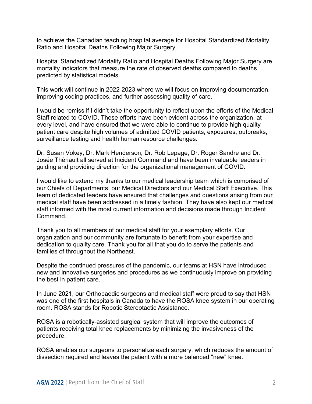to achieve the Canadian teaching hospital average for Hospital Standardized Mortality Ratio and Hospital Deaths Following Major Surgery.

Hospital Standardized Mortality Ratio and Hospital Deaths Following Major Surgery are mortality indicators that measure the rate of observed deaths compared to deaths predicted by statistical models.

This work will continue in 2022-2023 where we will focus on improving documentation, improving coding practices, and further assessing quality of care.

 Staff related to COVID. These efforts have been evident across the organization, at patient care despite high volumes of admitted COVID patients, exposures, outbreaks, surveillance testing and health human resource challenges. I would be remiss if I didn't take the opportunity to reflect upon the efforts of the Medical every level, and have ensured that we were able to continue to provide high quality

 guiding and providing direction for the organizational management of COVID. Dr. Susan Vokey, Dr. Mark Henderson, Dr. Rob Lepage, Dr. Roger Sandre and Dr. Josée Thériault all served at Incident Command and have been invaluable leaders in

 I would like to extend my thanks to our medical leadership team which is comprised of team of dedicated leaders have ensured that challenges and questions arising from our Command. our Chiefs of Departments, our Medical Directors and our Medical Staff Executive. This medical staff have been addressed in a timely fashion. They have also kept our medical staff informed with the most current information and decisions made through Incident

Command.<br>Thank you to all members of our medical staff for your exemplary efforts. Our organization and our community are fortunate to benefit from your expertise and dedication to quality care. Thank you for all that you do to serve the patients and families of throughout the Northeast.

Despite the continued pressures of the pandemic, our teams at HSN have introduced new and innovative surgeries and procedures as we continuously improve on providing the best in patient care.

 room. ROSA stands for Robotic Stereotactic Assistance. In June 2021, our Orthopaedic surgeons and medical staff were proud to say that HSN was one of the first hospitals in Canada to have the ROSA knee system in our operating

ROSA is a robotically-assisted surgical system that will improve the outcomes of patients receiving total knee replacements by minimizing the invasiveness of the procedure.

ROSA enables our surgeons to personalize each surgery, which reduces the amount of dissection required and leaves the patient with a more balanced "new" knee.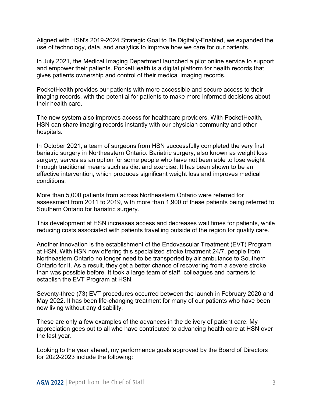Aligned with HSN's 2019-2024 Strategic Goal to Be Digitally-Enabled, we expanded the use of technology, data, and analytics to improve how we care for our patients.

 and empower their patients. PocketHealth is a digital platform for health records that In July 2021, the Medical Imaging Department launched a pilot online service to support gives patients ownership and control of their medical imaging records.

PocketHealth provides our patients with more accessible and secure access to their imaging records, with the potential for patients to make more informed decisions about their health care.

The new system also improves access for healthcare providers. With PocketHealth, HSN can share imaging records instantly with our physician community and other hospitals.

 In October 2021, a team of surgeons from HSN successfully completed the very first through traditional means such as diet and exercise. It has been shown to be an bariatric surgery in Northeastern Ontario. Bariatric surgery, also known as weight loss surgery, serves as an option for some people who have not been able to lose weight effective intervention, which produces significant weight loss and improves medical conditions.

More than 5,000 patients from across Northeastern Ontario were referred for assessment from 2011 to 2019, with more than 1,900 of these patients being referred to Southern Ontario for bariatric surgery.

 This development at HSN increases access and decreases wait times for patients, while reducing costs associated with patients travelling outside of the region for quality care.

 at HSN. With HSN now offering this specialized stroke treatment 24/7, people from Another innovation is the establishment of the Endovascular Treatment (EVT) Program Northeastern Ontario no longer need to be transported by air ambulance to Southern Ontario for it. As a result, they get a better chance of recovering from a severe stroke than was possible before. It took a large team of staff, colleagues and partners to establish the EVT Program at HSN.

 May 2022. It has been life-changing treatment for many of our patients who have been Seventy-three (73) EVT procedures occurred between the launch in February 2020 and now living without any disability.

 These are only a few examples of the advances in the delivery of patient care. My appreciation goes out to all who have contributed to advancing health care at HSN over the last year.

 for 2022-2023 include the following: Looking to the year ahead, my performance goals approved by the Board of Directors